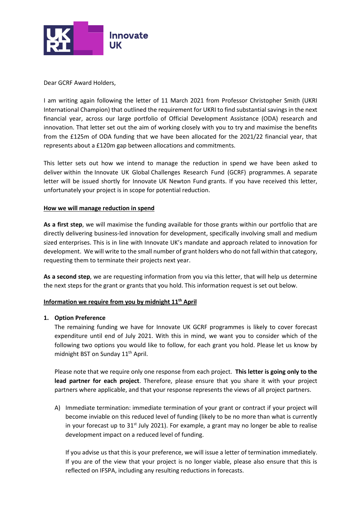

Dear GCRF Award Holders,

I am writing again following the letter of 11 March 2021 from Professor Christopher Smith (UKRI International Champion) that outlined the requirement for UKRI to find substantial savings in the next financial year, across our large portfolio of Official Development Assistance (ODA) research and innovation. That letter set out the aim of working closely with you to try and maximise the benefits from the £125m of ODA funding that we have been allocated for the 2021/22 financial year, that represents about a £120m gap between allocations and commitments.

This letter sets out how we intend to manage the reduction in spend we have been asked to deliver within the Innovate UK Global Challenges Research Fund (GCRF) programmes. A separate letter will be issued shortly for Innovate UK Newton Fund grants. If you have received this letter, unfortunately your project is in scope for potential reduction.

## **How we will manage reduction in spend**

**As a first step**, we will maximise the funding available for those grants within our portfolio that are directly delivering business-led innovation for development, specifically involving small and medium sized enterprises. This is in line with Innovate UK's mandate and approach related to innovation for development. We will write to the small number of grant holders who do not fall within that category, requesting them to terminate their projects next year.

**As a second step**, we are requesting information from you via this letter, that will help us determine the next steps for the grant or grants that you hold. This information request is set out below.

# **Information we require from you by midnight 11th April**

### **1. Option Preference**

The remaining funding we have for Innovate UK GCRF programmes is likely to cover forecast expenditure until end of July 2021. With this in mind, we want you to consider which of the following two options you would like to follow, for each grant you hold. Please let us know by midnight BST on Sunday 11<sup>th</sup> April.

Please note that we require only one response from each project. **This letter is going only to the lead partner for each project**. Therefore, please ensure that you share it with your project partners where applicable, and that your response represents the views of all project partners.

A) Immediate termination: immediate termination of your grant or contract if your project will become inviable on this reduced level of funding (likely to be no more than what is currently in your forecast up to  $31<sup>st</sup>$  July 2021). For example, a grant may no longer be able to realise development impact on a reduced level of funding.

If you advise us that this is your preference, we will issue a letter of termination immediately. If you are of the view that your project is no longer viable, please also ensure that this is reflected on IFSPA, including any resulting reductions in forecasts.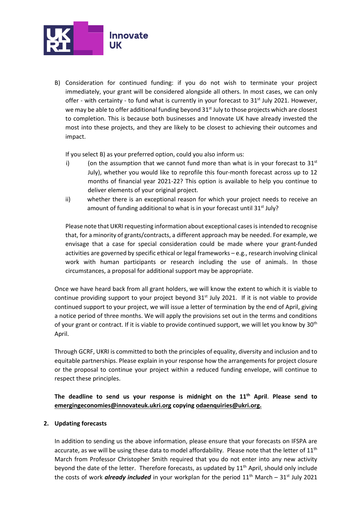

B) Consideration for continued funding: if you do not wish to terminate your project immediately, your grant will be considered alongside all others. In most cases, we can only offer - with certainty - to fund what is currently in your forecast to  $31<sup>st</sup>$  July 2021. However, we may be able to offer additional funding beyond  $31<sup>st</sup>$  July to those projects which are closest to completion. This is because both businesses and Innovate UK have already invested the most into these projects, and they are likely to be closest to achieving their outcomes and impact.

If you select B) as your preferred option, could you also inform us:

- i) (on the assumption that we cannot fund more than what is in your forecast to  $31<sup>st</sup>$ July), whether you would like to reprofile this four-month forecast across up to 12 months of financial year 2021-22? This option is available to help you continue to deliver elements of your original project.
- ii) whether there is an exceptional reason for which your project needs to receive an amount of funding additional to what is in your forecast until 31<sup>st</sup> July?

Please note that UKRI requesting information about exceptional cases is intended to recognise that, for a minority of grants/contracts, a different approach may be needed. For example, we envisage that a case for special consideration could be made where your grant-funded activities are governed by specific ethical or legal frameworks – e.g., research involving clinical work with human participants or research including the use of animals. In those circumstances, a proposal for additional support may be appropriate.

Once we have heard back from all grant holders, we will know the extent to which it is viable to continue providing support to your project beyond  $31<sup>st</sup>$  July 2021. If it is not viable to provide continued support to your project, we will issue a letter of termination by the end of April, giving a notice period of three months. We will apply the provisions set out in the terms and conditions of your grant or contract. If it is viable to provide continued support, we will let you know by 30<sup>th</sup> April.

Through GCRF, UKRI is committed to both the principles of equality, diversity and inclusion and to equitable partnerships. Please explain in your response how the arrangements for project closure or the proposal to continue your project within a reduced funding envelope, will continue to respect these principles.

**The deadline to send us your response is midnight on the 11th April**. **Please send to [emergingeconomies@innovateuk.ukri.org](mailto:emergingeconomies@innovateuk.ukri.org) copying [odaenquiries@ukri.org.](mailto:odaenquiries@ukri.org)** 

### **2. Updating forecasts**

In addition to sending us the above information, please ensure that your forecasts on IFSPA are accurate, as we will be using these data to model affordability. Please note that the letter of 11<sup>th</sup> March from Professor Christopher Smith required that you do not enter into any new activity beyond the date of the letter. Therefore forecasts, as updated by 11<sup>th</sup> April, should only include the costs of work *already included* in your workplan for the period 11<sup>th</sup> March – 31<sup>st</sup> July 2021